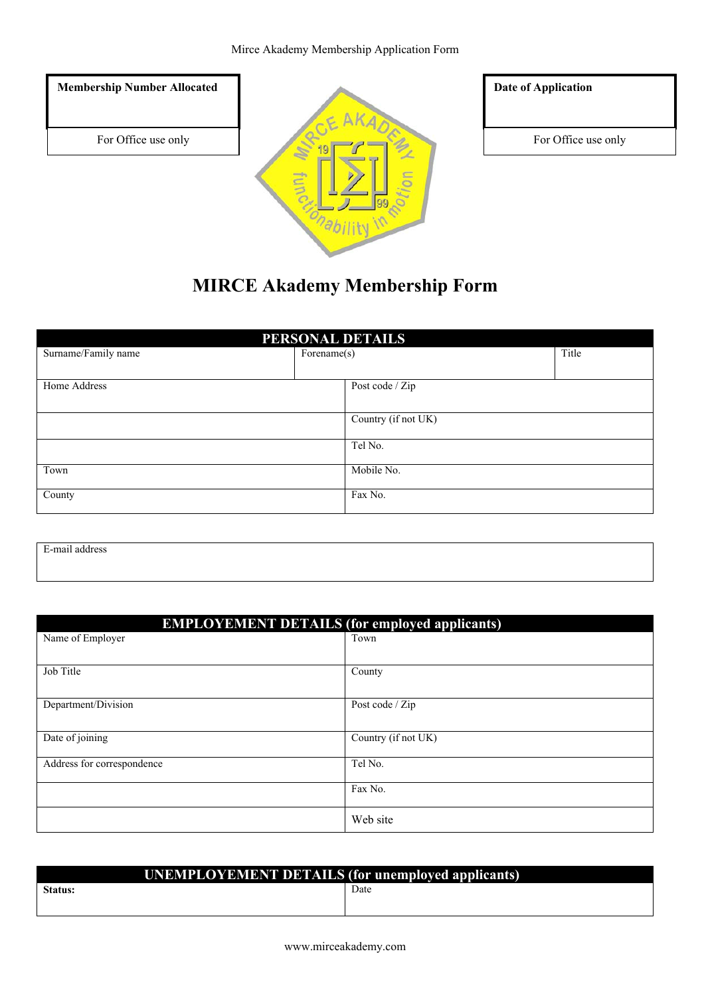#### Mirce Akademy Membership Application Form



# **MIRCE Akademy Membership Form**

| PERSONAL DETAILS    |                     |       |  |  |
|---------------------|---------------------|-------|--|--|
| Surname/Family name | Forename(s)         | Title |  |  |
|                     |                     |       |  |  |
| Home Address        | Post code / Zip     |       |  |  |
|                     |                     |       |  |  |
|                     | Country (if not UK) |       |  |  |
|                     |                     |       |  |  |
|                     | Tel No.             |       |  |  |
| Town                | Mobile No.          |       |  |  |
|                     |                     |       |  |  |
| County              | Fax No.             |       |  |  |
|                     |                     |       |  |  |

E-mail address

| <b>EMPLOYEMENT DETAILS (for employed applicants)</b> |                     |  |  |
|------------------------------------------------------|---------------------|--|--|
| Name of Employer                                     | Town                |  |  |
|                                                      |                     |  |  |
| Job Title                                            | County              |  |  |
|                                                      |                     |  |  |
| Department/Division                                  | Post code / Zip     |  |  |
|                                                      |                     |  |  |
| Date of joining                                      | Country (if not UK) |  |  |
| Address for correspondence                           | Tel No.             |  |  |
|                                                      | Fax No.             |  |  |
|                                                      | Web site            |  |  |

| <b>UNEMPLOYEMENT DETAILS (for unemployed applicants)</b> |  |      |  |  |
|----------------------------------------------------------|--|------|--|--|
| <b>Status:</b>                                           |  | Date |  |  |
|                                                          |  |      |  |  |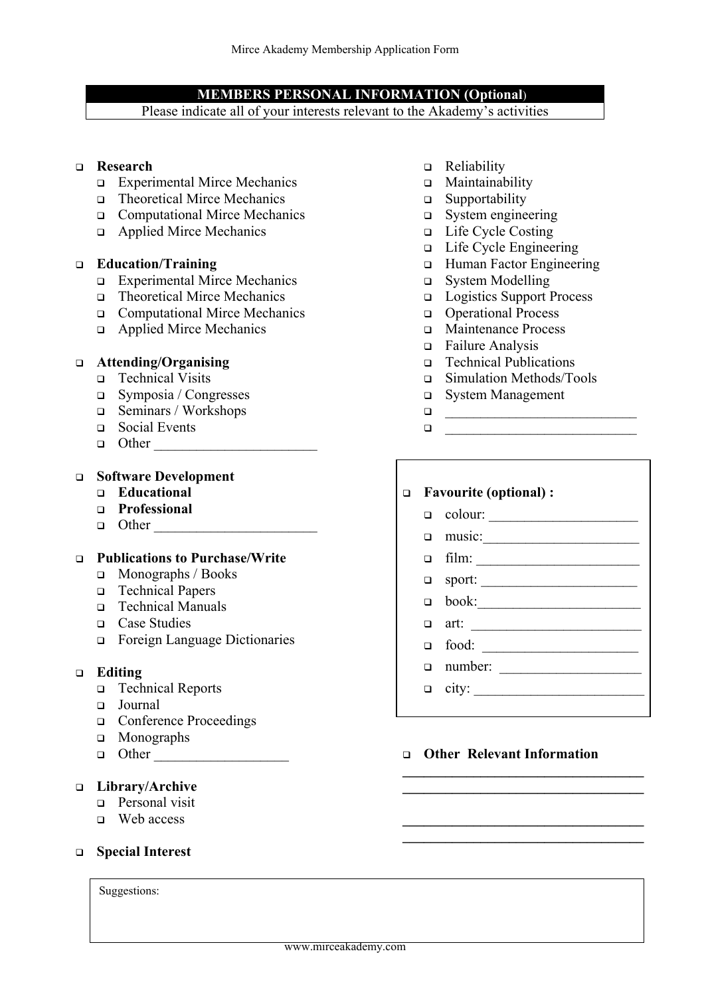#### **MEMBERS PERSONAL INFORMATION (Optional**)

Please indicate all of your interests relevant to the Akademy's activities

## **Research**

- Experimental Mirce Mechanics
- Theoretical Mirce Mechanics
- Computational Mirce Mechanics
- Applied Mirce Mechanics

#### **Education/Training**

- Experimental Mirce Mechanics
- Theoretical Mirce Mechanics
- Computational Mirce Mechanics
- Applied Mirce Mechanics

#### **Attending/Organising**

- Technical Visits
- Symposia / Congresses
- Seminars / Workshops
- Social Events
- Other \_\_\_\_\_\_\_\_\_\_\_\_\_\_\_\_\_\_\_\_\_\_\_

#### **Software Development**

- **Educational**
- **Professional**
- Other \_\_\_\_\_\_\_\_\_\_\_\_\_\_\_\_\_\_\_\_\_\_\_

#### **Publications to Purchase/Write**

- Monographs / Books
- □ Technical Papers
- □ Technical Manuals
- □ Case Studies
- Foreign Language Dictionaries

#### **Editing**

- Technical Reports
- Journal
- □ Conference Proceedings
- **In Monographs**
- $\Box$  Other

## **Library/Archive**

- **Personal visit**
- Web access

## **Special Interest**

Suggestions:

- □ Reliability
- Maintainability
- $\square$  Supportability
- System engineering
- □ Life Cycle Costing
- □ Life Cycle Engineering
- □ Human Factor Engineering
- System Modelling
- Logistics Support Process
- Operational Process
- Maintenance Process
- Failure Analysis
- □ Technical Publications
- Simulation Methods/Tools
- System Management
- \_\_\_\_\_\_\_\_\_\_\_\_\_\_\_\_\_\_\_\_\_\_\_\_\_\_\_
- $\Box$

# **Favourite (optional) :**

# $\Box$  colour:

- music:\_\_\_\_\_\_\_\_\_\_\_\_\_\_\_\_\_\_\_\_\_\_
	-
- film: \_\_\_\_\_\_\_\_\_\_\_\_\_\_\_\_\_\_\_\_\_\_\_
- sport: \_\_\_\_\_\_\_\_\_\_\_\_\_\_\_\_\_\_\_\_\_\_
- $\hfill \Box \quad \text{book:} \begin{tabular}{c} \textbf{1} & \textbf{1} & \textbf{2} & \textbf{3} & \textbf{5} \\ \hline \end{tabular}$
- art: \_\_\_\_\_\_\_\_\_\_\_\_\_\_\_\_\_\_\_\_\_\_\_\_
- food: \_\_\_\_\_\_\_\_\_\_\_\_\_\_\_\_\_\_\_\_\_\_
- $\Box$  number:
- $\Box$  city:
	-

## **Other Relevant Information**

**\_\_\_\_\_\_\_\_\_\_\_\_\_\_\_\_\_\_\_\_\_\_\_\_\_\_\_\_\_\_\_\_\_\_ \_\_\_\_\_\_\_\_\_\_\_\_\_\_\_\_\_\_\_\_\_\_\_\_\_\_\_\_\_\_\_\_\_\_**

 $\mathcal{L} = \{ \mathcal{L} \}$ **\_\_\_\_\_\_\_\_\_\_\_\_\_\_\_\_\_\_\_\_\_\_\_\_\_\_\_\_\_\_\_\_\_\_**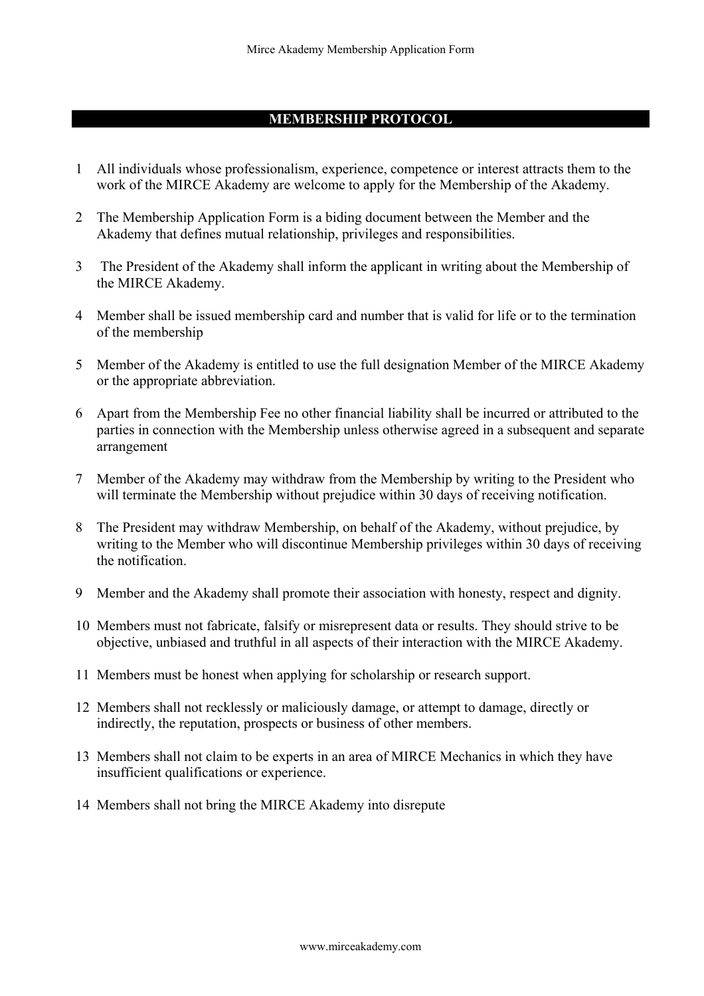#### **MEMBERSHIP PROTOCOL**

- 1 All individuals whose professionalism, experience, competence or interest attracts them to the work of the MIRCE Akademy are welcome to apply for the Membership of the Akademy.
- 2 The Membership Application Form is a biding document between the Member and the Akademy that defines mutual relationship, privileges and responsibilities.
- 3 The President of the Akademy shall inform the applicant in writing about the Membership of the MIRCE Akademy.
- 4 Member shall be issued membership card and number that is valid for life or to the termination of the membership
- 5 Member of the Akademy is entitled to use the full designation Member of the MIRCE Akademy or the appropriate abbreviation.
- 6 Apart from the Membership Fee no other financial liability shall be incurred or attributed to the parties in connection with the Membership unless otherwise agreed in a subsequent and separate arrangement
- 7 Member of the Akademy may withdraw from the Membership by writing to the President who will terminate the Membership without prejudice within 30 days of receiving notification.
- 8 The President may withdraw Membership, on behalf of the Akademy, without prejudice, by writing to the Member who will discontinue Membership privileges within 30 days of receiving the notification.
- 9 Member and the Akademy shall promote their association with honesty, respect and dignity.
- 10 Members must not fabricate, falsify or misrepresent data or results. They should strive to be objective, unbiased and truthful in all aspects of their interaction with the MIRCE Akademy.
- 11 Members must be honest when applying for scholarship or research support.
- 12 Members shall not recklessly or maliciously damage, or attempt to damage, directly or indirectly, the reputation, prospects or business of other members.
- 13 Members shall not claim to be experts in an area of MIRCE Mechanics in which they have insufficient qualifications or experience.
- 14 Members shall not bring the MIRCE Akademy into disrepute